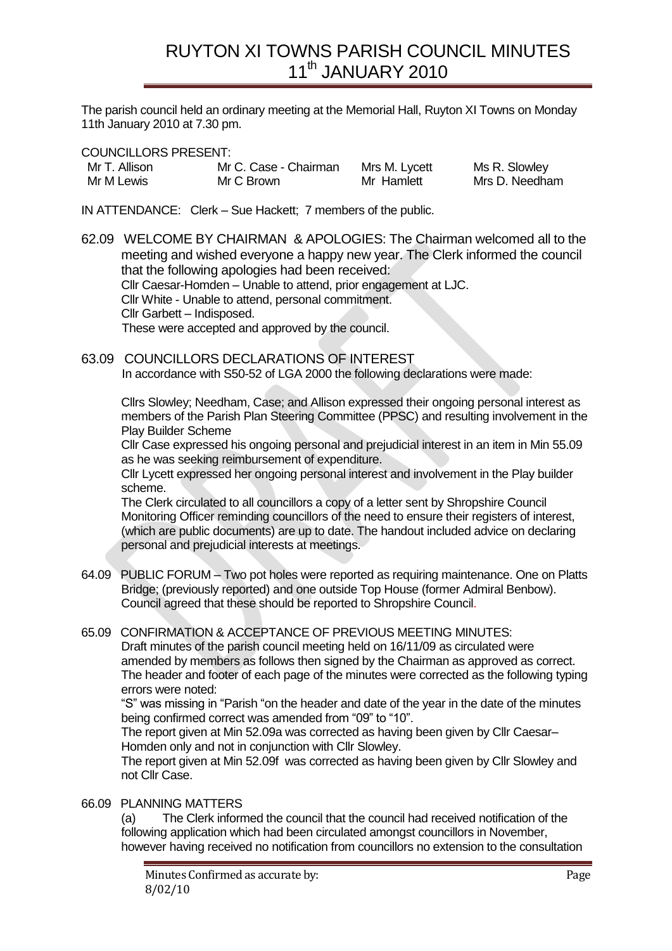The parish council held an ordinary meeting at the Memorial Hall, Ruyton XI Towns on Monday 11th January 2010 at 7.30 pm.

COUNCILLORS PRESENT:

| Mr T. Allison | Mr C. Case - Chairman | Mrs M. Lycett | Ms R. Slowley  |
|---------------|-----------------------|---------------|----------------|
| Mr M Lewis    | Mr C Brown            | Mr Hamlett    | Mrs D. Needham |

IN ATTENDANCE: Clerk – Sue Hackett; 7 members of the public.

62.09 WELCOME BY CHAIRMAN & APOLOGIES: The Chairman welcomed all to the meeting and wished everyone a happy new year. The Clerk informed the council that the following apologies had been received: Cllr Caesar-Homden – Unable to attend, prior engagement at LJC. Cllr White - Unable to attend, personal commitment. Cllr Garbett – Indisposed. These were accepted and approved by the council.

63.09 COUNCILLORS DECLARATIONS OF INTEREST In accordance with S50-52 of LGA 2000 the following declarations were made:

Cllrs Slowley; Needham, Case; and Allison expressed their ongoing personal interest as members of the Parish Plan Steering Committee (PPSC) and resulting involvement in the Play Builder Scheme

Cllr Case expressed his ongoing personal and prejudicial interest in an item in Min 55.09 as he was seeking reimbursement of expenditure.

Cllr Lycett expressed her ongoing personal interest and involvement in the Play builder scheme.

The Clerk circulated to all councillors a copy of a letter sent by Shropshire Council Monitoring Officer reminding councillors of the need to ensure their registers of interest, (which are public documents) are up to date. The handout included advice on declaring personal and prejudicial interests at meetings.

- 64.09 PUBLIC FORUM Two pot holes were reported as requiring maintenance. One on Platts Bridge; (previously reported) and one outside Top House (former Admiral Benbow). Council agreed that these should be reported to Shropshire Council.
- 65.09 CONFIRMATION & ACCEPTANCE OF PREVIOUS MEETING MINUTES: Draft minutes of the parish council meeting held on 16/11/09 as circulated were amended by members as follows then signed by the Chairman as approved as correct. The header and footer of each page of the minutes were corrected as the following typing errors were noted:

"S" was missing in "Parish "on the header and date of the year in the date of the minutes being confirmed correct was amended from "09" to "10".

The report given at Min 52.09a was corrected as having been given by Cllr Caesar– Homden only and not in conjunction with Cllr Slowley.

The report given at Min 52.09f was corrected as having been given by Cllr Slowley and not Cllr Case.

## 66.09 PLANNING MATTERS

(a) The Clerk informed the council that the council had received notification of the following application which had been circulated amongst councillors in November, however having received no notification from councillors no extension to the consultation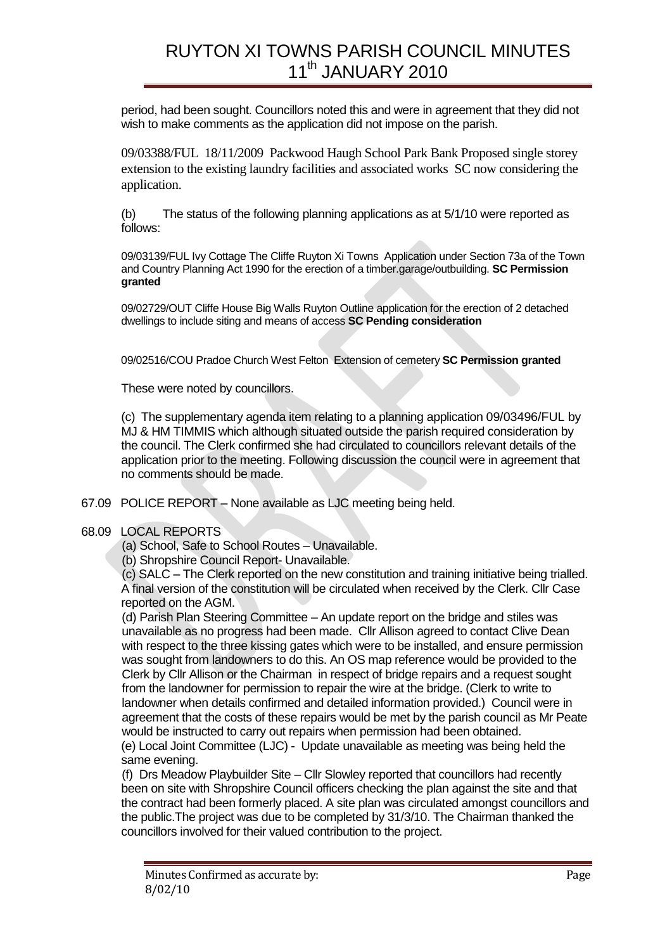period, had been sought. Councillors noted this and were in agreement that they did not wish to make comments as the application did not impose on the parish.

09/03388/FUL 18/11/2009 Packwood Haugh School Park Bank Proposed single storey extension to the existing laundry facilities and associated works SC now considering the application.

(b) The status of the following planning applications as at 5/1/10 were reported as follows:

09/03139/FUL Ivy Cottage The Cliffe Ruyton Xi Towns Application under Section 73a of the Town and Country Planning Act 1990 for the erection of a timber.garage/outbuilding. **SC Permission granted**

09/02729/OUT Cliffe House Big Walls Ruyton Outline application for the erection of 2 detached dwellings to include siting and means of access **SC Pending consideration**

09/02516/COU Pradoe Church West Felton Extension of cemetery **SC Permission granted**

These were noted by councillors.

(c) The supplementary agenda item relating to a planning application 09/03496/FUL by MJ & HM TIMMIS which although situated outside the parish required consideration by the council. The Clerk confirmed she had circulated to councillors relevant details of the application prior to the meeting. Following discussion the council were in agreement that no comments should be made.

67.09 POLICE REPORT – None available as LJC meeting being held.

#### 68.09 LOCAL REPORTS

(a) School, Safe to School Routes – Unavailable.

(b) Shropshire Council Report- Unavailable.

(c) SALC – The Clerk reported on the new constitution and training initiative being trialled. A final version of the constitution will be circulated when received by the Clerk. Cllr Case reported on the AGM.

(d) Parish Plan Steering Committee – An update report on the bridge and stiles was unavailable as no progress had been made. Cllr Allison agreed to contact Clive Dean with respect to the three kissing gates which were to be installed, and ensure permission was sought from landowners to do this. An OS map reference would be provided to the Clerk by Cllr Allison or the Chairman in respect of bridge repairs and a request sought from the landowner for permission to repair the wire at the bridge. (Clerk to write to landowner when details confirmed and detailed information provided.) Council were in agreement that the costs of these repairs would be met by the parish council as Mr Peate would be instructed to carry out repairs when permission had been obtained. (e) Local Joint Committee (LJC) - Update unavailable as meeting was being held the same evening.

(f) Drs Meadow Playbuilder Site – Cllr Slowley reported that councillors had recently been on site with Shropshire Council officers checking the plan against the site and that the contract had been formerly placed. A site plan was circulated amongst councillors and the public.The project was due to be completed by 31/3/10. The Chairman thanked the councillors involved for their valued contribution to the project.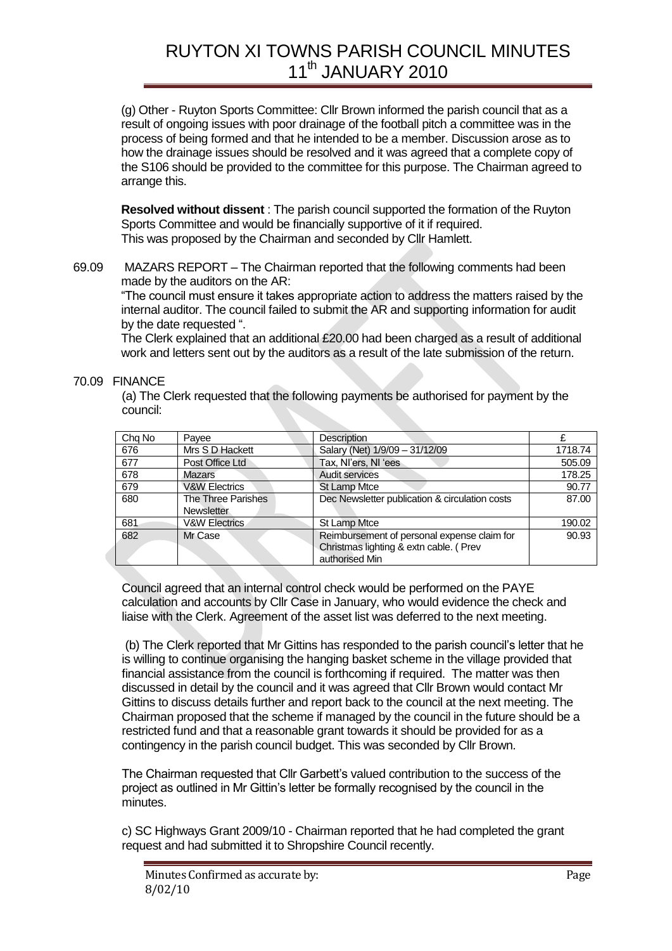(g) Other - Ruyton Sports Committee: Cllr Brown informed the parish council that as a result of ongoing issues with poor drainage of the football pitch a committee was in the process of being formed and that he intended to be a member. Discussion arose as to how the drainage issues should be resolved and it was agreed that a complete copy of the S106 should be provided to the committee for this purpose. The Chairman agreed to arrange this.

**Resolved without dissent** : The parish council supported the formation of the Ruyton Sports Committee and would be financially supportive of it if required. This was proposed by the Chairman and seconded by Cllr Hamlett.

69.09 MAZARS REPORT – The Chairman reported that the following comments had been made by the auditors on the AR:

"The council must ensure it takes appropriate action to address the matters raised by the internal auditor. The council failed to submit the AR and supporting information for audit by the date requested ".

The Clerk explained that an additional £20.00 had been charged as a result of additional work and letters sent out by the auditors as a result of the late submission of the return.

### 70.09 FINANCE

(a) The Clerk requested that the following payments be authorised for payment by the council:

| Chg No | Payee                                   | <b>Description</b>                                                                                       |         |
|--------|-----------------------------------------|----------------------------------------------------------------------------------------------------------|---------|
| 676    | Mrs S D Hackett                         | Salary (Net) 1/9/09 - 31/12/09                                                                           | 1718.74 |
| 677    | Post Office Ltd                         | Tax, NI'ers, NI 'ees                                                                                     | 505.09  |
| 678    | Mazars                                  | Audit services                                                                                           | 178.25  |
| 679    | <b>V&amp;W Electrics</b>                | <b>St Lamp Mtce</b>                                                                                      | 90.77   |
| 680    | The Three Parishes<br><b>Newsletter</b> | Dec Newsletter publication & circulation costs                                                           | 87.00   |
| 681    | <b>V&amp;W Electrics</b>                | St Lamp Mtce                                                                                             | 190.02  |
| 682    | Mr Case                                 | Reimbursement of personal expense claim for<br>Christmas lighting & extn cable. ( Prev<br>authorised Min | 90.93   |

Council agreed that an internal control check would be performed on the PAYE calculation and accounts by Cllr Case in January, who would evidence the check and liaise with the Clerk. Agreement of the asset list was deferred to the next meeting.

(b) The Clerk reported that Mr Gittins has responded to the parish council"s letter that he is willing to continue organising the hanging basket scheme in the village provided that financial assistance from the council is forthcoming if required. The matter was then discussed in detail by the council and it was agreed that Cllr Brown would contact Mr Gittins to discuss details further and report back to the council at the next meeting. The Chairman proposed that the scheme if managed by the council in the future should be a restricted fund and that a reasonable grant towards it should be provided for as a contingency in the parish council budget. This was seconded by Cllr Brown.

The Chairman requested that Cllr Garbett"s valued contribution to the success of the project as outlined in Mr Gittin"s letter be formally recognised by the council in the minutes.

c) SC Highways Grant 2009/10 - Chairman reported that he had completed the grant request and had submitted it to Shropshire Council recently.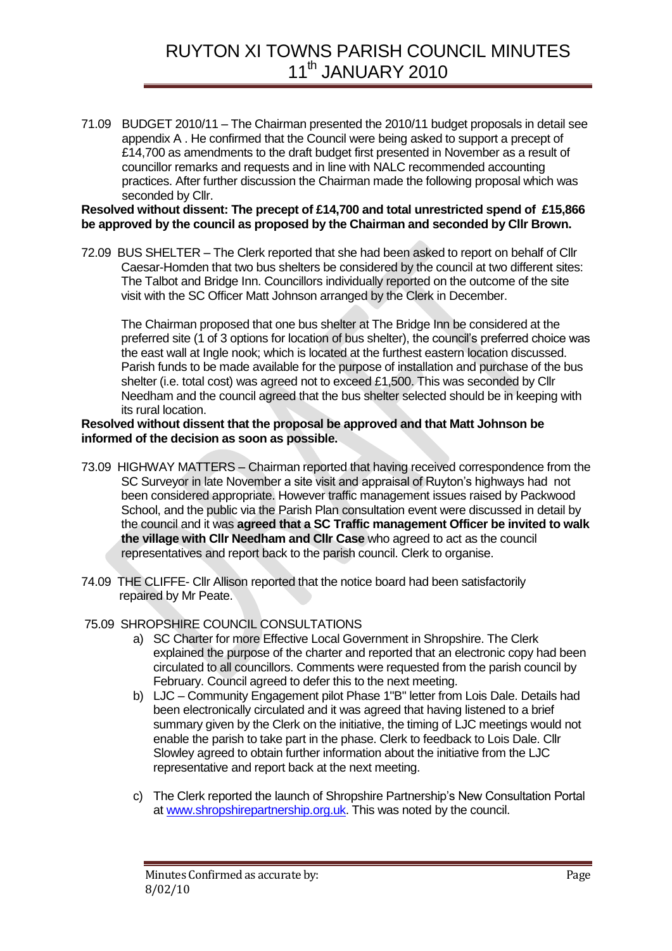71.09 BUDGET 2010/11 – The Chairman presented the 2010/11 budget proposals in detail see appendix A . He confirmed that the Council were being asked to support a precept of £14,700 as amendments to the draft budget first presented in November as a result of councillor remarks and requests and in line with NALC recommended accounting practices. After further discussion the Chairman made the following proposal which was seconded by Cllr.

#### **Resolved without dissent: The precept of £14,700 and total unrestricted spend of £15,866 be approved by the council as proposed by the Chairman and seconded by Cllr Brown.**

72.09 BUS SHELTER – The Clerk reported that she had been asked to report on behalf of Cllr Caesar-Homden that two bus shelters be considered by the council at two different sites: The Talbot and Bridge Inn. Councillors individually reported on the outcome of the site visit with the SC Officer Matt Johnson arranged by the Clerk in December.

The Chairman proposed that one bus shelter at The Bridge Inn be considered at the preferred site (1 of 3 options for location of bus shelter), the council"s preferred choice was the east wall at Ingle nook; which is located at the furthest eastern location discussed. Parish funds to be made available for the purpose of installation and purchase of the bus shelter (i.e. total cost) was agreed not to exceed £1,500. This was seconded by Cllr Needham and the council agreed that the bus shelter selected should be in keeping with its rural location.

### **Resolved without dissent that the proposal be approved and that Matt Johnson be informed of the decision as soon as possible.**

- 73.09 HIGHWAY MATTERS Chairman reported that having received correspondence from the SC Surveyor in late November a site visit and appraisal of Ruyton"s highways had not been considered appropriate. However traffic management issues raised by Packwood School, and the public via the Parish Plan consultation event were discussed in detail by the council and it was **agreed that a SC Traffic management Officer be invited to walk the village with Cllr Needham and Cllr Case** who agreed to act as the council representatives and report back to the parish council. Clerk to organise.
- 74.09 THE CLIFFE- Cllr Allison reported that the notice board had been satisfactorily repaired by Mr Peate.

## 75.09 SHROPSHIRE COUNCIL CONSULTATIONS

- a) SC Charter for more Effective Local Government in Shropshire. The Clerk explained the purpose of the charter and reported that an electronic copy had been circulated to all councillors. Comments were requested from the parish council by February. Council agreed to defer this to the next meeting.
- b) LJC Community Engagement pilot Phase 1"B" letter from Lois Dale. Details had been electronically circulated and it was agreed that having listened to a brief summary given by the Clerk on the initiative, the timing of LJC meetings would not enable the parish to take part in the phase. Clerk to feedback to Lois Dale. Cllr Slowley agreed to obtain further information about the initiative from the LJC representative and report back at the next meeting.
- c) The Clerk reported the launch of Shropshire Partnership"s New Consultation Portal at [www.shropshirepartnership.org.uk.](http://www.shropshirepartnership.org.uk/) This was noted by the council.